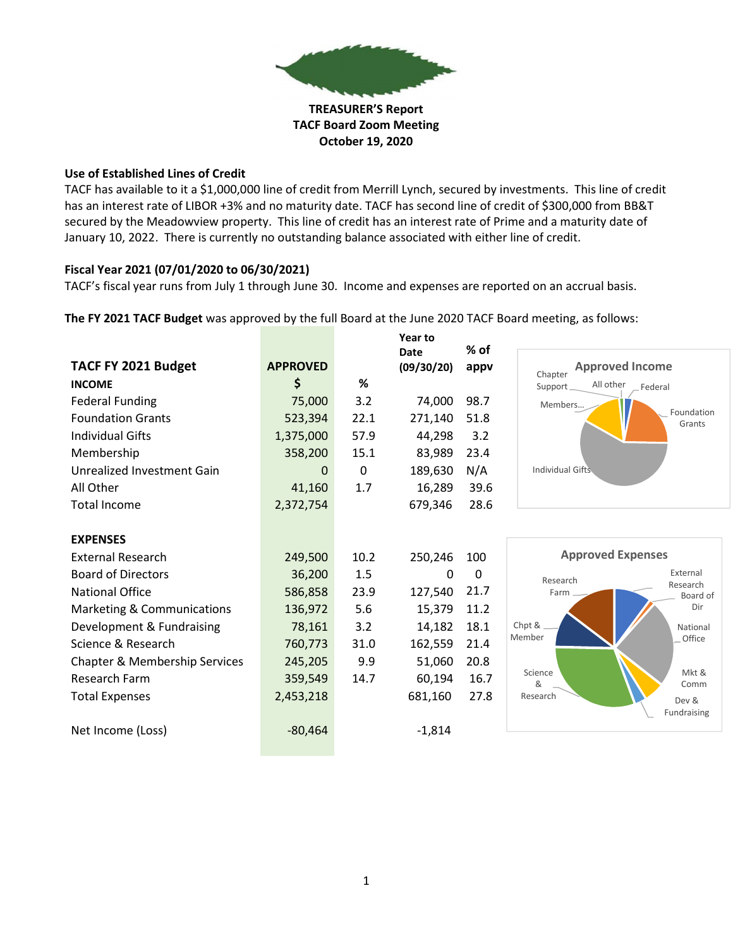

TREASURER'S Report TACF Board Zoom Meeting October 19, 2020

## Use of Established Lines of Credit

TACF has available to it a \$1,000,000 line of credit from Merrill Lynch, secured by investments. This line of credit has an interest rate of LIBOR +3% and no maturity date. TACF has second line of credit of \$300,000 from BB&T secured by the Meadowview property. This line of credit has an interest rate of Prime and a maturity date of January 10, 2022. There is currently no outstanding balance associated with either line of credit.

# Fiscal Year 2021 (07/01/2020 to 06/30/2021)

TACF's fiscal year runs from July 1 through June 30. Income and expenses are reported on an accrual basis.

The FY 2021 TACF Budget was approved by the full Board at the June 2020 TACF Board meeting, as follows:

|                               |                 |      | Year to<br><b>Date</b> | % of |                                   |
|-------------------------------|-----------------|------|------------------------|------|-----------------------------------|
| TACF FY 2021 Budget           | <b>APPROVED</b> |      | (09/30/20)             | appv | <b>Approved Income</b><br>Chapter |
| <b>INCOME</b>                 | \$              | %    |                        |      | All other<br>Support<br>_Federal  |
| <b>Federal Funding</b>        | 75,000          | 3.2  | 74,000                 | 98.7 | Members                           |
| <b>Foundation Grants</b>      | 523,394         | 22.1 | 271,140                | 51.8 | Foundation<br>Grants              |
| <b>Individual Gifts</b>       | 1,375,000       | 57.9 | 44,298                 | 3.2  |                                   |
| Membership                    | 358,200         | 15.1 | 83,989                 | 23.4 |                                   |
| Unrealized Investment Gain    | 0               | 0    | 189,630                | N/A  | <b>Individual Gifts</b>           |
| All Other                     | 41,160          | 1.7  | 16,289                 | 39.6 |                                   |
| Total Income                  | 2,372,754       |      | 679,346                | 28.6 |                                   |
|                               |                 |      |                        |      |                                   |
| <b>EXPENSES</b>               |                 |      |                        |      |                                   |
| <b>External Research</b>      | 249,500         | 10.2 | 250,246                | 100  | <b>Approved Expenses</b>          |
| <b>Board of Directors</b>     | 36,200          | 1.5  | 0                      | 0    | External<br>Research              |
| <b>National Office</b>        | 586,858         | 23.9 | 127,540                | 21.7 | Research<br>Farm<br>Board of      |
| Marketing & Communications    | 136,972         | 5.6  | 15,379                 | 11.2 | Dir                               |
| Development & Fundraising     | 78,161          | 3.2  | 14,182                 | 18.1 | Chpt &<br>National                |
| Science & Research            | 760,773         | 31.0 | 162,559                | 21.4 | Member<br><b>Office</b>           |
| Chapter & Membership Services | 245,205         | 9.9  | 51,060                 | 20.8 |                                   |
| Research Farm                 | 359,549         | 14.7 | 60,194                 | 16.7 | Science<br>Mkt &<br>&<br>Comm     |
| <b>Total Expenses</b>         | 2,453,218       |      | 681,160                | 27.8 | Research<br>Dev &                 |
|                               |                 |      |                        |      | Fundraising                       |
| Net Income (Loss)             | $-80,464$       |      | $-1,814$               |      |                                   |
|                               |                 |      |                        |      |                                   |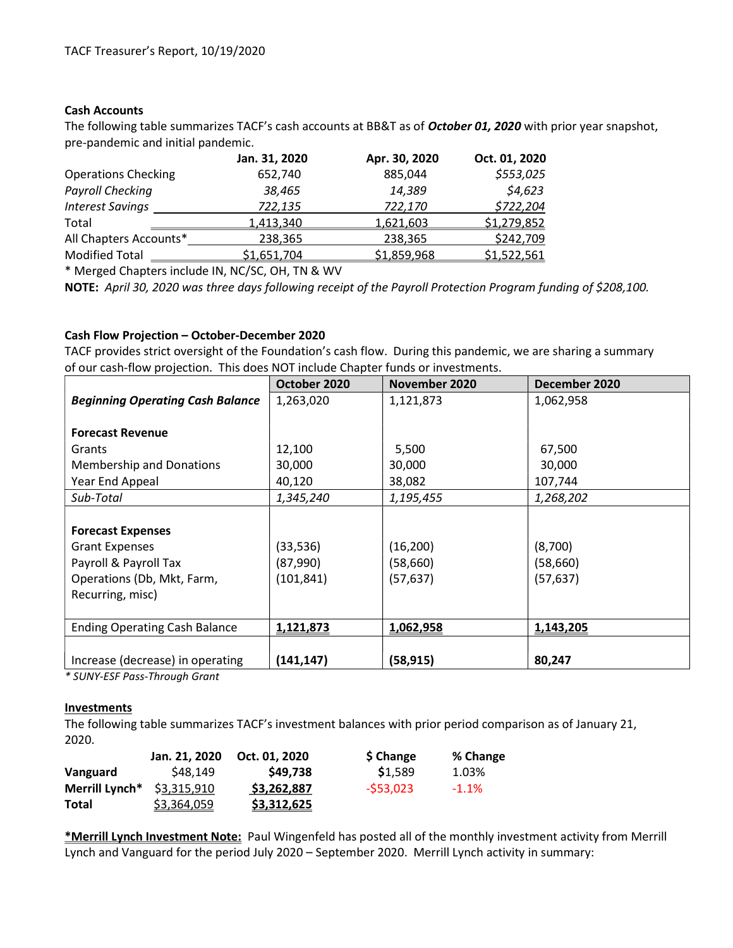### Cash Accounts

The following table summarizes TACF's cash accounts at BB&T as of October 01, 2020 with prior year snapshot, pre-pandemic and initial pandemic.

|                            | Jan. 31, 2020      | Apr. 30, 2020 | Oct. 01, 2020 |
|----------------------------|--------------------|---------------|---------------|
| <b>Operations Checking</b> | 652,740            | 885,044       | \$553,025     |
| <b>Payroll Checking</b>    | 38,465             | 14,389        | \$4,623       |
| <b>Interest Savings</b>    | 722,135            | 722,170       | \$722,204     |
| Total                      | 1,413,340          | 1,621,603     | \$1,279,852   |
| All Chapters Accounts*     | 238,365            | 238,365       | \$242,709     |
| <b>Modified Total</b>      | <u>\$1,651,704</u> | \$1,859,968   | \$1,522,561   |

\* Merged Chapters include IN, NC/SC, OH, TN & WV

NOTE: April 30, 2020 was three days following receipt of the Payroll Protection Program funding of \$208,100.

### Cash Flow Projection – October-December 2020

TACF provides strict oversight of the Foundation's cash flow. During this pandemic, we are sharing a summary of our cash-flow projection. This does NOT include Chapter funds or investments.

|                                         | October 2020 | November 2020 | December 2020 |
|-----------------------------------------|--------------|---------------|---------------|
| <b>Beginning Operating Cash Balance</b> | 1,263,020    | 1,121,873     | 1,062,958     |
|                                         |              |               |               |
| <b>Forecast Revenue</b>                 |              |               |               |
| Grants                                  | 12,100       | 5,500         | 67,500        |
| <b>Membership and Donations</b>         | 30,000       | 30,000        | 30,000        |
| Year End Appeal                         | 40,120       | 38,082        | 107,744       |
| Sub-Total                               | 1,345,240    | 1,195,455     | 1,268,202     |
|                                         |              |               |               |
| <b>Forecast Expenses</b>                |              |               |               |
| <b>Grant Expenses</b>                   | (33, 536)    | (16, 200)     | (8,700)       |
| Payroll & Payroll Tax                   | (87,990)     | (58, 660)     | (58, 660)     |
| Operations (Db, Mkt, Farm,              | (101, 841)   | (57, 637)     | (57, 637)     |
| Recurring, misc)                        |              |               |               |
|                                         |              |               |               |
| <b>Ending Operating Cash Balance</b>    | 1,121,873    | 1,062,958     | 1,143,205     |
|                                         |              |               |               |
| Increase (decrease) in operating        | (141, 147)   | (58, 915)     | 80,247        |

\* SUNY-ESF Pass-Through Grant

#### Investments

The following table summarizes TACF's investment balances with prior period comparison as of January 21, 2020.

|                | Jan. 21, 2020 | Oct. 01. 2020 | \$ Change  | % Change |
|----------------|---------------|---------------|------------|----------|
| Vanguard       | \$48.149      | \$49,738      | \$1,589    | 1.03%    |
| Merrill Lynch* | \$3,315,910   | \$3,262,887   | $-553,023$ | $-1.1\%$ |
| <b>Total</b>   | \$3,364,059   | \$3,312,625   |            |          |

\*Merrill Lynch Investment Note: Paul Wingenfeld has posted all of the monthly investment activity from Merrill Lynch and Vanguard for the period July 2020 – September 2020. Merrill Lynch activity in summary: